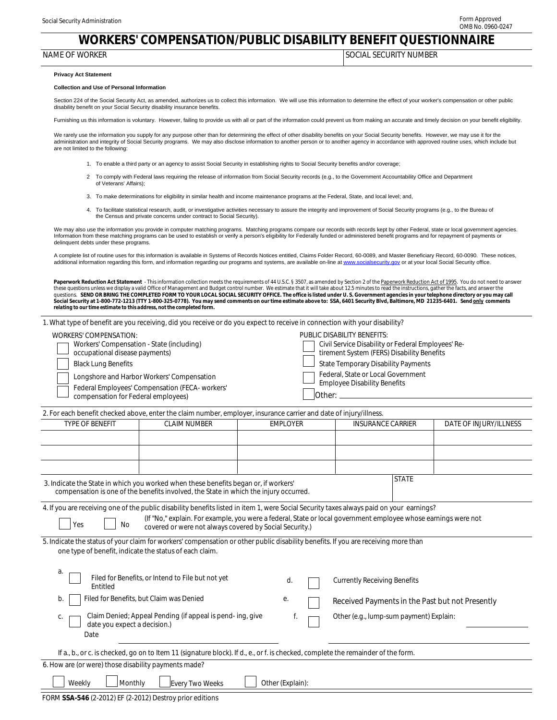## **WORKERS' COMPENSATION/PUBLIC DISABILITY BENEFIT QUESTIONNAIRE**

| NAME          | <b>NUMBER</b>  |
|---------------|----------------|
| <b>WORKER</b> | <b>SECURIT</b> |
| . OF          | CIΑ!           |
|               | $\lambda$      |
|               |                |

## **Privacy Act Statement**

## **Collection and Use of Personal Information**

 Section 224 of the Social Security Act, as amended, authorizes us to collect this information. We will use this information to determine the effect of your worker's compensation or other public disability benefit on your Social Security disability insurance benefits.

Furnishing us this information is voluntary. However, failing to provide us with all or part of the information could prevent us from making an accurate and timely decision on your benefit eligibility.

We rarely use the information you supply for any purpose other than for determining the effect of other disability benefits on your Social Security benefits. However, we may use it for the administration and integrity of Social Security programs. We may also disclose information to another person or to another agency in accordance with approved routine uses, which include but are not limited to the following:

- 1. To enable a third party or an agency to assist Social Security in establishing rights to Social Security benefits and/or coverage;
- 2 To comply with Federal laws requiring the release of information from Social Security records (e.g., to the Government Accountability Office and Department of Veterans' Affairs);
- 3. To make determinations for eligibility in similar health and income maintenance programs at the Federal, State, and local level; and,
- 4. To facilitate statistical research, audit, or investigative activities necessary to assure the integrity and improvement of Social Security programs (e.g., to the Bureau of the Census and private concerns under contract to Social Security).

 We may also use the information you provide in computer matching programs. Matching programs compare our records with records kept by other Federal, state or local government agencies. Information from these matching programs can be used to establish or verify a person's eligibility for Federally funded or administered benefit programs and for repayment of payments or delinquent debts under these programs.

A complete list of routine uses for this information is available in Systems of Records Notices entitled, Claims Folder Record, 60-0089, and Master Beneficiary Record, 60-0090. These notices,<br>additional information regardi

**Paperwork Reduction Act Statement** - This information collection meets the requirements of 44 U.S.C. § 3507, as amended by Section 2 of the <u>Paperwork Reduction Act of 1995</u>. You do not need to answer<br>these questions unle questions. SEND OR BRING THE COMPLETED FORM TO YOUR LOCAL SOCIAL SECURITY OFFICE. The office is listed under U. S. Government agencies in your telephone directory or you may call<br>Social Security at 1-800-772-1213 (TTY 1-80 *relating to our time estimate to this address, not the completed form.*

| 1. What type of benefit are you receiving, did you receive or do you expect to receive in connection with your disability?                                                                                                                                                                                                         |                                                                                               |                 |  |                                                                                                                                                                                                                                                                   |                        |  |  |
|------------------------------------------------------------------------------------------------------------------------------------------------------------------------------------------------------------------------------------------------------------------------------------------------------------------------------------|-----------------------------------------------------------------------------------------------|-----------------|--|-------------------------------------------------------------------------------------------------------------------------------------------------------------------------------------------------------------------------------------------------------------------|------------------------|--|--|
| <b>WORKERS' COMPENSATION:</b><br>Workers' Compensation - State (including)<br>occupational disease payments)<br><b>Black Lung Benefits</b><br>compensation for Federal employees)<br>2. For each benefit checked above, enter the claim number, employer, insurance carrier and date of injury/illness.                            | Longshore and Harbor Workers' Compensation<br>Federal Employees' Compensation (FECA- workers' |                 |  | <b>PUBLIC DISABILITY BENEFITS:</b><br>Civil Service Disability or Federal Employees' Re-<br>tirement System (FERS) Disability Benefits<br><b>State Temporary Disability Payments</b><br>Federal, State or Local Government<br><b>Employee Disability Benefits</b> |                        |  |  |
| TYPE OF BENEFIT                                                                                                                                                                                                                                                                                                                    | <b>CLAIM NUMBER</b>                                                                           | <b>EMPLOYER</b> |  | <b>INSURANCE CARRIER</b>                                                                                                                                                                                                                                          | DATE OF INJURY/ILLNESS |  |  |
|                                                                                                                                                                                                                                                                                                                                    |                                                                                               |                 |  |                                                                                                                                                                                                                                                                   |                        |  |  |
|                                                                                                                                                                                                                                                                                                                                    |                                                                                               |                 |  |                                                                                                                                                                                                                                                                   |                        |  |  |
| <b>STATE</b><br>3. Indicate the State in which you worked when these benefits began or, if workers'<br>compensation is one of the benefits involved, the State in which the injury occurred.                                                                                                                                       |                                                                                               |                 |  |                                                                                                                                                                                                                                                                   |                        |  |  |
| 4. If you are receiving one of the public disability benefits listed in item 1, were Social Security taxes always paid on your earnings?<br>(If "No," explain. For example, you were a federal, State or local government employee whose earnings were not<br>Yes<br>No<br>covered or were not always covered by Social Security.) |                                                                                               |                 |  |                                                                                                                                                                                                                                                                   |                        |  |  |
| 5. Indicate the status of your claim for workers' compensation or other public disability benefits. If you are receiving more than<br>one type of benefit, indicate the status of each claim.                                                                                                                                      |                                                                                               |                 |  |                                                                                                                                                                                                                                                                   |                        |  |  |
| а.<br>Entitled                                                                                                                                                                                                                                                                                                                     | Filed for Benefits, or Intend to File but not yet                                             | d.              |  | <b>Currently Receiving Benefits</b>                                                                                                                                                                                                                               |                        |  |  |
| b.                                                                                                                                                                                                                                                                                                                                 | Filed for Benefits, but Claim was Denied                                                      | е.              |  | Received Payments in the Past but not Presently                                                                                                                                                                                                                   |                        |  |  |
| C.<br>date you expect a decision.)<br>Date                                                                                                                                                                                                                                                                                         | Claim Denied; Appeal Pending (if appeal is pend-ing, give                                     | f.              |  | Other (e.g., lump-sum payment) Explain:                                                                                                                                                                                                                           |                        |  |  |
| If a., b., or c. is checked, go on to Item 11 (signature block). If d., e., or f. is checked, complete the remainder of the form.                                                                                                                                                                                                  |                                                                                               |                 |  |                                                                                                                                                                                                                                                                   |                        |  |  |
| 6. How are (or were) those disability payments made?                                                                                                                                                                                                                                                                               |                                                                                               |                 |  |                                                                                                                                                                                                                                                                   |                        |  |  |
| Weekly<br>Monthly<br>Every Two Weeks<br>Other (Explain):                                                                                                                                                                                                                                                                           |                                                                                               |                 |  |                                                                                                                                                                                                                                                                   |                        |  |  |
| FORM SSA-546 (2-2012) EF (2-2012) Destroy prior editions                                                                                                                                                                                                                                                                           |                                                                                               |                 |  |                                                                                                                                                                                                                                                                   |                        |  |  |